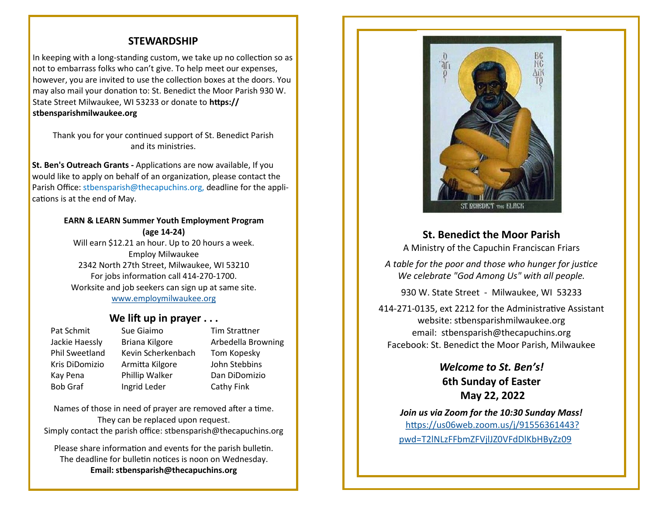### **STEWARDSHIP**

In keeping with a long-standing custom, we take up no collection so as not to embarrass folks who can't give. To help meet our expenses, however, you are invited to use the collection boxes at the doors. You may also mail your donation to: St. Benedict the Moor Parish 930 W. State Street Milwaukee, WI 53233 or donate to **https:// stbensparishmilwaukee.org**

Thank you for your continued support of St. Benedict Parish and its ministries.

**St. Ben's Outreach Grants -** Applications are now available, If you would like to apply on behalf of an organization, please contact the Parish Office: stbensparish@thecapuchins.org, deadline for the applications is at the end of May.

#### **EARN & LEARN Summer Youth Employment Program (age 14-24)**

Will earn \$12.21 an hour. Up to 20 hours a week. Employ Milwaukee 2342 North 27th Street, Milwaukee, WI 53210 For jobs information call 414-270-1700. Worksite and job seekers can sign up at same site. [www.employmilwaukee.org](http://www.employmilwaukee.org)

#### **We lift up in prayer . . .**

Pat Schmit Sue Giaimo Tim Strattner Jackie Haessly Briana Kilgore Arbedella Browning Phil Sweetland Kevin Scherkenbach Tom Kopesky Kris DiDomizio Armitta Kilgore John Stebbins Kay Pena Phillip Walker Dan DiDomizio Bob Graf Ingrid Leder Cathy Fink

Names of those in need of prayer are removed after a time. They can be replaced upon request. Simply contact the parish office: stbensparish@thecapuchins.org

Please share information and events for the parish bulletin. The deadline for bulletin notices is noon on Wednesday. **Email: stbensparish@thecapuchins.org**



**St. Benedict the Moor Parish**

A Ministry of the Capuchin Franciscan Friars

*A table for the poor and those who hunger for justice We celebrate "God Among Us" with all people.* 

930 W. State Street - Milwaukee, WI 53233

414-271-0135, ext 2212 for the Administrative Assistant website: stbensparishmilwaukee.org email: stbensparish@thecapuchins.org Facebook: St. Benedict the Moor Parish, Milwaukee

> *Welcome to St. Ben's!* **6th Sunday of Easter May 22, 2022**

*Join us via Zoom for the 10:30 Sunday Mass!* [https://us06web.zoom.us/j/91556361443?](https://us06web.zoom.us/j/91556361443?pwd=T2lNLzFFbmZFVjlJZ0VFdDlKbHByZz09) [pwd=T2lNLzFFbmZFVjlJZ0VFdDlKbHByZz09](https://us06web.zoom.us/j/91556361443?pwd=T2lNLzFFbmZFVjlJZ0VFdDlKbHByZz09)